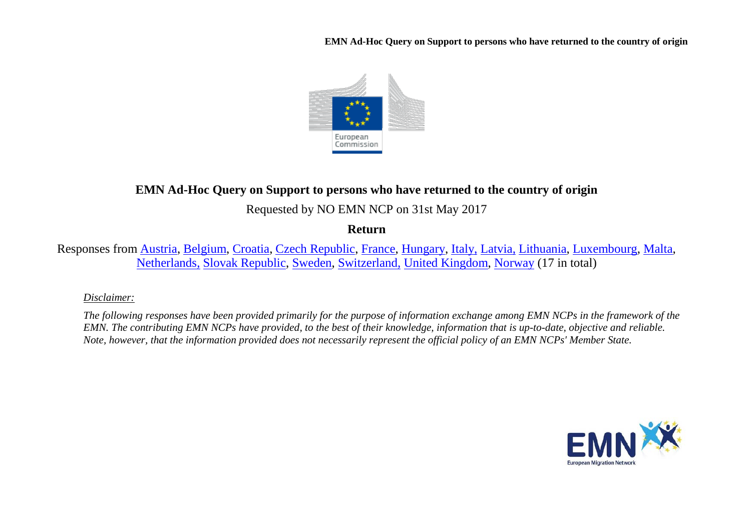**EMN Ad-Hoc Query on Support to persons who have returned to the country of origin**



# **EMN Ad-Hoc Query on Support to persons who have returned to the country of origin**

Requested by NO EMN NCP on 31st May 2017

**Return**

Responses from [Austria,](#page-2-0) [Belgium,](#page-4-0) [Croatia,](#page-6-0) [Czech Republic,](#page-7-0) [France,](#page-8-0) [Hungary,](#page-9-0) [Italy,](#page-10-0) [Latvia,](#page-12-0) [Lithuania,](#page-12-1) [Luxembourg,](#page-14-0) [Malta,](#page-15-0) [Netherlands,](#page-16-0) [Slovak Republic,](#page-18-0) [Sweden,](#page-19-0) [Switzerland,](#page-23-0) [United Kingdom,](#page-24-0) [Norway](#page-24-1) (17 in total)

#### *Disclaimer:*

*The following responses have been provided primarily for the purpose of information exchange among EMN NCPs in the framework of the EMN. The contributing EMN NCPs have provided, to the best of their knowledge, information that is up-to-date, objective and reliable. Note, however, that the information provided does not necessarily represent the official policy of an EMN NCPs' Member State.*

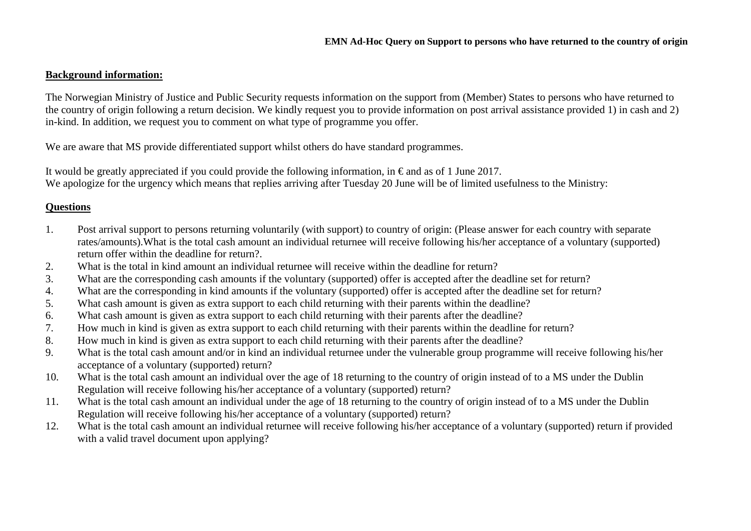#### **Background information:**

The Norwegian Ministry of Justice and Public Security requests information on the support from (Member) States to persons who have returned to the country of origin following a return decision. We kindly request you to provide information on post arrival assistance provided 1) in cash and 2) in-kind. In addition, we request you to comment on what type of programme you offer.

We are aware that MS provide differentiated support whilst others do have standard programmes.

It would be greatly appreciated if you could provide the following information, in  $\epsilon$  and as of 1 June 2017. We apologize for the urgency which means that replies arriving after Tuesday 20 June will be of limited usefulness to the Ministry:

### **Questions**

- 1. Post arrival support to persons returning voluntarily (with support) to country of origin: (Please answer for each country with separate rates/amounts).What is the total cash amount an individual returnee will receive following his/her acceptance of a voluntary (supported) return offer within the deadline for return?.
- 2. What is the total in kind amount an individual returnee will receive within the deadline for return?
- 3. What are the corresponding cash amounts if the voluntary (supported) offer is accepted after the deadline set for return?
- 4. What are the corresponding in kind amounts if the voluntary (supported) offer is accepted after the deadline set for return?
- 5. What cash amount is given as extra support to each child returning with their parents within the deadline?
- 6. What cash amount is given as extra support to each child returning with their parents after the deadline?
- 7. How much in kind is given as extra support to each child returning with their parents within the deadline for return?<br>8. How much in kind is given as extra support to each child returning with their parents after the de
- 8. How much in kind is given as extra support to each child returning with their parents after the deadline?
- 9. What is the total cash amount and/or in kind an individual returnee under the vulnerable group programme will receive following his/her acceptance of a voluntary (supported) return?
- 10. What is the total cash amount an individual over the age of 18 returning to the country of origin instead of to a MS under the Dublin Regulation will receive following his/her acceptance of a voluntary (supported) return?
- 11. What is the total cash amount an individual under the age of 18 returning to the country of origin instead of to a MS under the Dublin Regulation will receive following his/her acceptance of a voluntary (supported) return?
- 12. What is the total cash amount an individual returnee will receive following his/her acceptance of a voluntary (supported) return if provided with a valid travel document upon applying?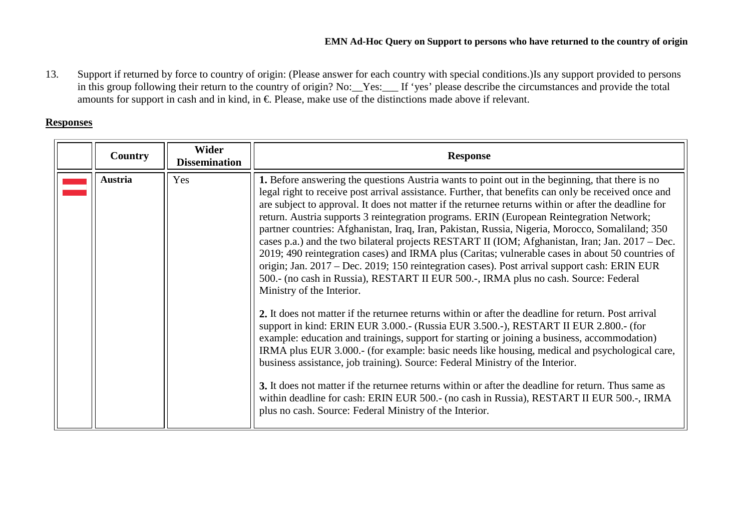13. Support if returned by force to country of origin: (Please answer for each country with special conditions.)Is any support provided to persons in this group following their return to the country of origin? No:\_\_Yes:\_\_\_ If 'yes' please describe the circumstances and provide the total amounts for support in cash and in kind, in  $\epsilon$ . Please, make use of the distinctions made above if relevant.

## **Responses**

<span id="page-2-0"></span>

| <b>Country</b>        | <b>Wider</b><br><b>Dissemination</b>                                                                                                                                                                                                                                                                                                                                                                                                                                                                                                                                                                                                                                                                                                                                                                                                                                                                                                                                                                                                                                                                                                                                                                                                           | <b>Response</b>                                                                                                                                                                                                                                                                                                                                                                                                                                     |
|-----------------------|------------------------------------------------------------------------------------------------------------------------------------------------------------------------------------------------------------------------------------------------------------------------------------------------------------------------------------------------------------------------------------------------------------------------------------------------------------------------------------------------------------------------------------------------------------------------------------------------------------------------------------------------------------------------------------------------------------------------------------------------------------------------------------------------------------------------------------------------------------------------------------------------------------------------------------------------------------------------------------------------------------------------------------------------------------------------------------------------------------------------------------------------------------------------------------------------------------------------------------------------|-----------------------------------------------------------------------------------------------------------------------------------------------------------------------------------------------------------------------------------------------------------------------------------------------------------------------------------------------------------------------------------------------------------------------------------------------------|
| <b>Austria</b><br>Yes | 1. Before answering the questions Austria wants to point out in the beginning, that there is no<br>legal right to receive post arrival assistance. Further, that benefits can only be received once and<br>are subject to approval. It does not matter if the returnee returns within or after the deadline for<br>return. Austria supports 3 reintegration programs. ERIN (European Reintegration Network;<br>partner countries: Afghanistan, Iraq, Iran, Pakistan, Russia, Nigeria, Morocco, Somaliland; 350<br>cases p.a.) and the two bilateral projects RESTART II (IOM; Afghanistan, Iran; Jan. 2017 – Dec.<br>2019; 490 reintegration cases) and IRMA plus (Caritas; vulnerable cases in about 50 countries of<br>origin; Jan. 2017 – Dec. 2019; 150 reintegration cases). Post arrival support cash: ERIN EUR<br>500.- (no cash in Russia), RESTART II EUR 500.-, IRMA plus no cash. Source: Federal<br>Ministry of the Interior.<br><b>2.</b> It does not matter if the returnee returns within or after the deadline for return. Post arrival<br>support in kind: ERIN EUR 3.000.- (Russia EUR 3.500.-), RESTART II EUR 2.800.- (for<br>example: education and trainings, support for starting or joining a business, accommodation) |                                                                                                                                                                                                                                                                                                                                                                                                                                                     |
|                       |                                                                                                                                                                                                                                                                                                                                                                                                                                                                                                                                                                                                                                                                                                                                                                                                                                                                                                                                                                                                                                                                                                                                                                                                                                                | IRMA plus EUR 3.000.- (for example: basic needs like housing, medical and psychological care,<br>business assistance, job training). Source: Federal Ministry of the Interior.<br><b>3.</b> It does not matter if the returnee returns within or after the deadline for return. Thus same as<br>within deadline for cash: ERIN EUR 500.- (no cash in Russia), RESTART II EUR 500.-, IRMA<br>plus no cash. Source: Federal Ministry of the Interior. |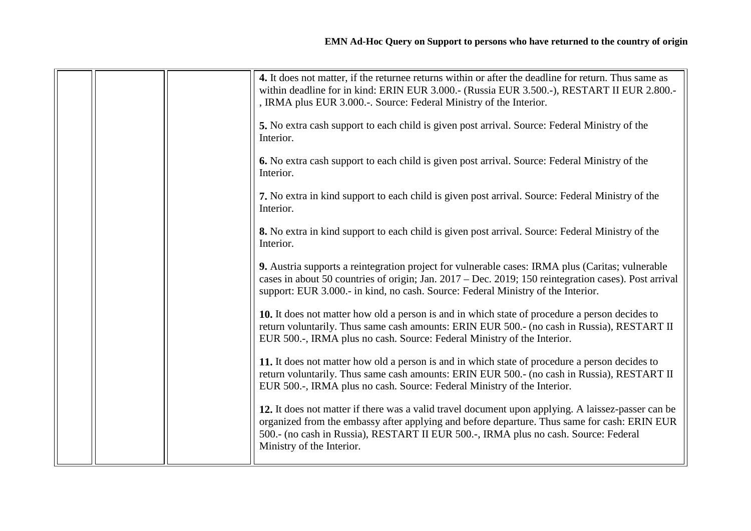|  | 4. It does not matter, if the returnee returns within or after the deadline for return. Thus same as<br>within deadline for in kind: ERIN EUR 3.000.- (Russia EUR 3.500.-), RESTART II EUR 2.800.-<br>, IRMA plus EUR 3.000.-. Source: Federal Ministry of the Interior.                                               |
|--|------------------------------------------------------------------------------------------------------------------------------------------------------------------------------------------------------------------------------------------------------------------------------------------------------------------------|
|  | 5. No extra cash support to each child is given post arrival. Source: Federal Ministry of the<br>Interior.                                                                                                                                                                                                             |
|  | 6. No extra cash support to each child is given post arrival. Source: Federal Ministry of the<br>Interior.                                                                                                                                                                                                             |
|  | 7. No extra in kind support to each child is given post arrival. Source: Federal Ministry of the<br>Interior.                                                                                                                                                                                                          |
|  | 8. No extra in kind support to each child is given post arrival. Source: Federal Ministry of the<br>Interior.                                                                                                                                                                                                          |
|  | 9. Austria supports a reintegration project for vulnerable cases: IRMA plus (Caritas; vulnerable<br>cases in about 50 countries of origin; Jan. 2017 – Dec. 2019; 150 reintegration cases). Post arrival<br>support: EUR 3.000.- in kind, no cash. Source: Federal Ministry of the Interior.                           |
|  | 10. It does not matter how old a person is and in which state of procedure a person decides to<br>return voluntarily. Thus same cash amounts: ERIN EUR 500.- (no cash in Russia), RESTART II<br>EUR 500.-, IRMA plus no cash. Source: Federal Ministry of the Interior.                                                |
|  | 11. It does not matter how old a person is and in which state of procedure a person decides to<br>return voluntarily. Thus same cash amounts: ERIN EUR 500.- (no cash in Russia), RESTART II<br>EUR 500.-, IRMA plus no cash. Source: Federal Ministry of the Interior.                                                |
|  | 12. It does not matter if there was a valid travel document upon applying. A laissez-passer can be<br>organized from the embassy after applying and before departure. Thus same for cash: ERIN EUR<br>500.- (no cash in Russia), RESTART II EUR 500.-, IRMA plus no cash. Source: Federal<br>Ministry of the Interior. |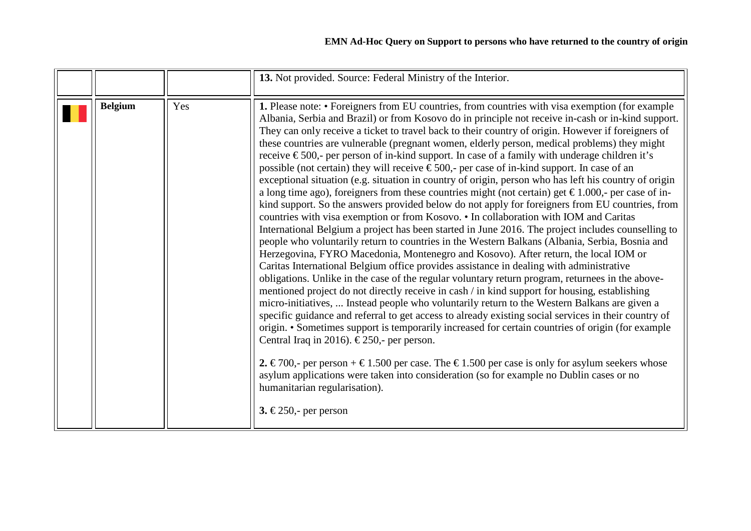<span id="page-4-0"></span>

|                |     | 13. Not provided. Source: Federal Ministry of the Interior.                                                                                                                                                                                                                                                                                                                                                                                                                                                                                                                                                                                                                                                                                                                                                                                                                                                                                                                                                                                                                                                                                                                                                                                                                                                                                                                                                                                                                                                                                                                                                                                                                                                                                                                                                                                                                                                                                                                                                                                                                                                                                                                                                                                                      |
|----------------|-----|------------------------------------------------------------------------------------------------------------------------------------------------------------------------------------------------------------------------------------------------------------------------------------------------------------------------------------------------------------------------------------------------------------------------------------------------------------------------------------------------------------------------------------------------------------------------------------------------------------------------------------------------------------------------------------------------------------------------------------------------------------------------------------------------------------------------------------------------------------------------------------------------------------------------------------------------------------------------------------------------------------------------------------------------------------------------------------------------------------------------------------------------------------------------------------------------------------------------------------------------------------------------------------------------------------------------------------------------------------------------------------------------------------------------------------------------------------------------------------------------------------------------------------------------------------------------------------------------------------------------------------------------------------------------------------------------------------------------------------------------------------------------------------------------------------------------------------------------------------------------------------------------------------------------------------------------------------------------------------------------------------------------------------------------------------------------------------------------------------------------------------------------------------------------------------------------------------------------------------------------------------------|
| <b>Belgium</b> | Yes | 1. Please note: • Foreigners from EU countries, from countries with visa exemption (for example<br>Albania, Serbia and Brazil) or from Kosovo do in principle not receive in-cash or in-kind support.<br>They can only receive a ticket to travel back to their country of origin. However if foreigners of<br>these countries are vulnerable (pregnant women, elderly person, medical problems) they might<br>receive €500,- per person of in-kind support. In case of a family with underage children it's<br>possible (not certain) they will receive $\epsilon$ 500,- per case of in-kind support. In case of an<br>exceptional situation (e.g. situation in country of origin, person who has left his country of origin<br>a long time ago), foreigners from these countries might (not certain) get $\epsilon$ 1.000,- per case of in-<br>kind support. So the answers provided below do not apply for foreigners from EU countries, from<br>countries with visa exemption or from Kosovo. • In collaboration with IOM and Caritas<br>International Belgium a project has been started in June 2016. The project includes counselling to<br>people who voluntarily return to countries in the Western Balkans (Albania, Serbia, Bosnia and<br>Herzegovina, FYRO Macedonia, Montenegro and Kosovo). After return, the local IOM or<br>Caritas International Belgium office provides assistance in dealing with administrative<br>obligations. Unlike in the case of the regular voluntary return program, returnees in the above-<br>mentioned project do not directly receive in cash / in kind support for housing, establishing<br>micro-initiatives,  Instead people who voluntarily return to the Western Balkans are given a<br>specific guidance and referral to get access to already existing social services in their country of<br>origin. • Sometimes support is temporarily increased for certain countries of origin (for example<br>Central Iraq in 2016). $\epsilon$ 250,- per person.<br>2. €700,- per person + €1.500 per case. The €1.500 per case is only for asylum seekers whose<br>asylum applications were taken into consideration (so for example no Dublin cases or no<br>humanitarian regularisation).<br>3. €250,- per person |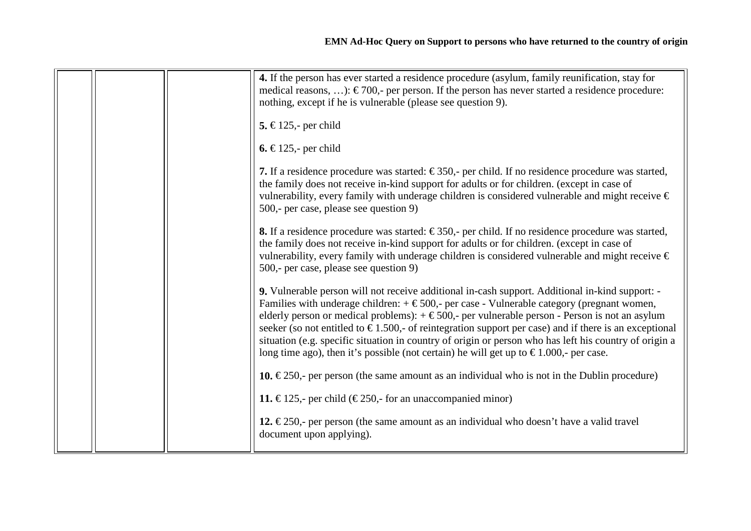|  | 4. If the person has ever started a residence procedure (asylum, family reunification, stay for<br>medical reasons, ): $\epsilon$ 700,- per person. If the person has never started a residence procedure:<br>nothing, except if he is vulnerable (please see question 9).                                                                                                                                                                                                                                                                                                                                                                          |
|--|-----------------------------------------------------------------------------------------------------------------------------------------------------------------------------------------------------------------------------------------------------------------------------------------------------------------------------------------------------------------------------------------------------------------------------------------------------------------------------------------------------------------------------------------------------------------------------------------------------------------------------------------------------|
|  | 5. €125,- per child                                                                                                                                                                                                                                                                                                                                                                                                                                                                                                                                                                                                                                 |
|  | 6. €125,- per child                                                                                                                                                                                                                                                                                                                                                                                                                                                                                                                                                                                                                                 |
|  | 7. If a residence procedure was started: $\epsilon$ 350,- per child. If no residence procedure was started,<br>the family does not receive in-kind support for adults or for children. (except in case of<br>vulnerability, every family with underage children is considered vulnerable and might receive $\epsilon$<br>500,- per case, please see question 9)                                                                                                                                                                                                                                                                                     |
|  | 8. If a residence procedure was started: €350,- per child. If no residence procedure was started,<br>the family does not receive in-kind support for adults or for children. (except in case of<br>vulnerability, every family with underage children is considered vulnerable and might receive $\epsilon$<br>500,- per case, please see question 9)                                                                                                                                                                                                                                                                                               |
|  | 9. Vulnerable person will not receive additional in-cash support. Additional in-kind support: -<br>Families with underage children: $+ \epsilon 500$ ,- per case - Vulnerable category (pregnant women,<br>elderly person or medical problems): $+ \epsilon 500$ ,- per vulnerable person - Person is not an asylum<br>seeker (so not entitled to $\epsilon$ 1.500,- of reintegration support per case) and if there is an exceptional<br>situation (e.g. specific situation in country of origin or person who has left his country of origin a<br>long time ago), then it's possible (not certain) he will get up to $\epsilon$ 1.000,- per case. |
|  | 10. $\in 250$ , per person (the same amount as an individual who is not in the Dublin procedure)                                                                                                                                                                                                                                                                                                                                                                                                                                                                                                                                                    |
|  | 11. €125,- per child (€250,- for an unaccompanied minor)                                                                                                                                                                                                                                                                                                                                                                                                                                                                                                                                                                                            |
|  | 12. €250,- per person (the same amount as an individual who doesn't have a valid travel<br>document upon applying).                                                                                                                                                                                                                                                                                                                                                                                                                                                                                                                                 |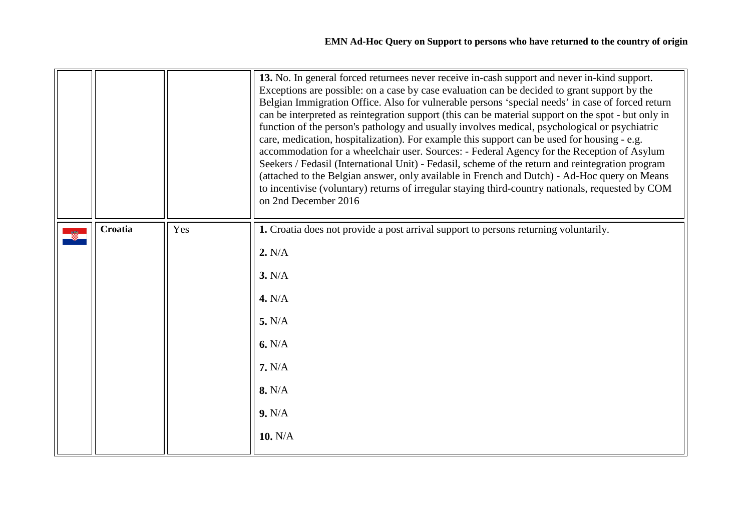<span id="page-6-0"></span>

|         |     | 13. No. In general forced returnees never receive in-cash support and never in-kind support.<br>Exceptions are possible: on a case by case evaluation can be decided to grant support by the<br>Belgian Immigration Office. Also for vulnerable persons 'special needs' in case of forced return<br>can be interpreted as reintegration support (this can be material support on the spot - but only in<br>function of the person's pathology and usually involves medical, psychological or psychiatric<br>care, medication, hospitalization). For example this support can be used for housing - e.g.<br>accommodation for a wheelchair user. Sources: - Federal Agency for the Reception of Asylum<br>Seekers / Fedasil (International Unit) - Fedasil, scheme of the return and reintegration program<br>(attached to the Belgian answer, only available in French and Dutch) - Ad-Hoc query on Means<br>to incentivise (voluntary) returns of irregular staying third-country nationals, requested by COM<br>on 2nd December 2016 |
|---------|-----|----------------------------------------------------------------------------------------------------------------------------------------------------------------------------------------------------------------------------------------------------------------------------------------------------------------------------------------------------------------------------------------------------------------------------------------------------------------------------------------------------------------------------------------------------------------------------------------------------------------------------------------------------------------------------------------------------------------------------------------------------------------------------------------------------------------------------------------------------------------------------------------------------------------------------------------------------------------------------------------------------------------------------------------|
| Croatia | Yes | 1. Croatia does not provide a post arrival support to persons returning voluntarily.<br>2. N/A<br>3. N/A<br>4. N/A<br>5. N/A<br>6. N/A<br>7. N/A<br>8. N/A<br>9. N/A<br>10. N/A                                                                                                                                                                                                                                                                                                                                                                                                                                                                                                                                                                                                                                                                                                                                                                                                                                                        |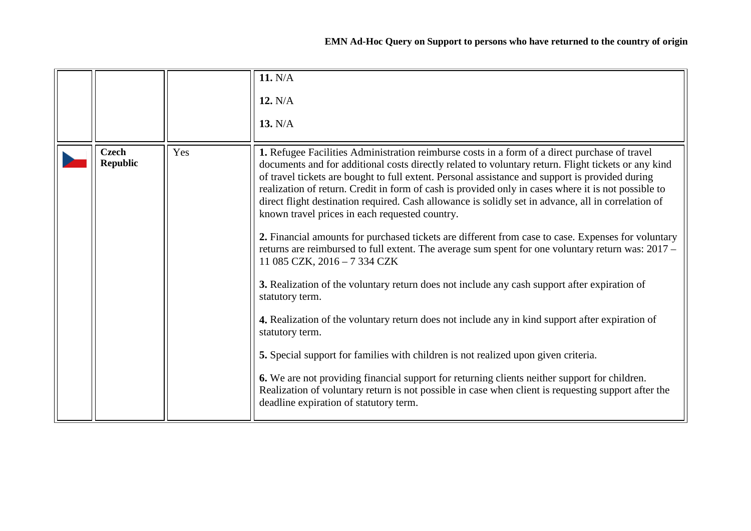<span id="page-7-0"></span>

|                                 |     | 11. N/A<br>12. N/A<br>13. N/A                                                                                                                                                                                                                                                                                                                                                                                                                                                                                                                                                                                                                                                                                                                                                                                                                                                                                                                                                                                                                                                                                                                                                                                                                                                                                                                                                                       |
|---------------------------------|-----|-----------------------------------------------------------------------------------------------------------------------------------------------------------------------------------------------------------------------------------------------------------------------------------------------------------------------------------------------------------------------------------------------------------------------------------------------------------------------------------------------------------------------------------------------------------------------------------------------------------------------------------------------------------------------------------------------------------------------------------------------------------------------------------------------------------------------------------------------------------------------------------------------------------------------------------------------------------------------------------------------------------------------------------------------------------------------------------------------------------------------------------------------------------------------------------------------------------------------------------------------------------------------------------------------------------------------------------------------------------------------------------------------------|
| <b>Czech</b><br><b>Republic</b> | Yes | 1. Refugee Facilities Administration reimburse costs in a form of a direct purchase of travel<br>documents and for additional costs directly related to voluntary return. Flight tickets or any kind<br>of travel tickets are bought to full extent. Personal assistance and support is provided during<br>realization of return. Credit in form of cash is provided only in cases where it is not possible to<br>direct flight destination required. Cash allowance is solidly set in advance, all in correlation of<br>known travel prices in each requested country.<br>2. Financial amounts for purchased tickets are different from case to case. Expenses for voluntary<br>returns are reimbursed to full extent. The average sum spent for one voluntary return was: 2017 –<br>11 085 CZK, 2016 - 7 334 CZK<br>3. Realization of the voluntary return does not include any cash support after expiration of<br>statutory term.<br>4. Realization of the voluntary return does not include any in kind support after expiration of<br>statutory term.<br>5. Special support for families with children is not realized upon given criteria.<br>6. We are not providing financial support for returning clients neither support for children.<br>Realization of voluntary return is not possible in case when client is requesting support after the<br>deadline expiration of statutory term. |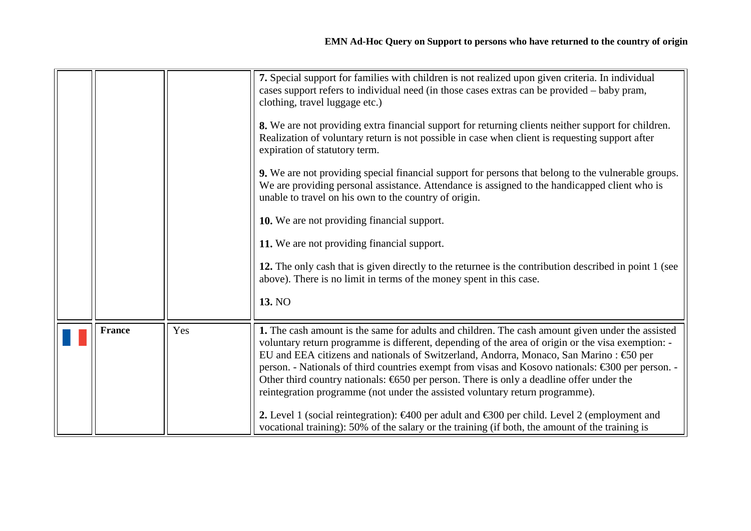<span id="page-8-0"></span>

|               |     | 7. Special support for families with children is not realized upon given criteria. In individual<br>cases support refers to individual need (in those cases extras can be provided – baby pram,<br>clothing, travel luggage etc.)<br>8. We are not providing extra financial support for returning clients neither support for children.<br>Realization of voluntary return is not possible in case when client is requesting support after<br>expiration of statutory term.<br>9. We are not providing special financial support for persons that belong to the vulnerable groups.<br>We are providing personal assistance. Attendance is assigned to the handicapped client who is<br>unable to travel on his own to the country of origin.<br>10. We are not providing financial support.<br>11. We are not providing financial support. |
|---------------|-----|---------------------------------------------------------------------------------------------------------------------------------------------------------------------------------------------------------------------------------------------------------------------------------------------------------------------------------------------------------------------------------------------------------------------------------------------------------------------------------------------------------------------------------------------------------------------------------------------------------------------------------------------------------------------------------------------------------------------------------------------------------------------------------------------------------------------------------------------|
|               |     | 12. The only cash that is given directly to the returnee is the contribution described in point 1 (see<br>above). There is no limit in terms of the money spent in this case.<br>13. NO                                                                                                                                                                                                                                                                                                                                                                                                                                                                                                                                                                                                                                                     |
| <b>France</b> | Yes | 1. The cash amount is the same for adults and children. The cash amount given under the assisted<br>voluntary return programme is different, depending of the area of origin or the visa exemption: -<br>EU and EEA citizens and nationals of Switzerland, Andorra, Monaco, San Marino: €50 per<br>person. - Nationals of third countries exempt from visas and Kosovo nationals: €300 per person. -<br>Other third country nationals: $650$ per person. There is only a deadline offer under the<br>reintegration programme (not under the assisted voluntary return programme).<br>2. Level 1 (social reintegration): $\epsilon 400$ per adult and $\epsilon 300$ per child. Level 2 (employment and<br>vocational training): 50% of the salary or the training (if both, the amount of the training is                                   |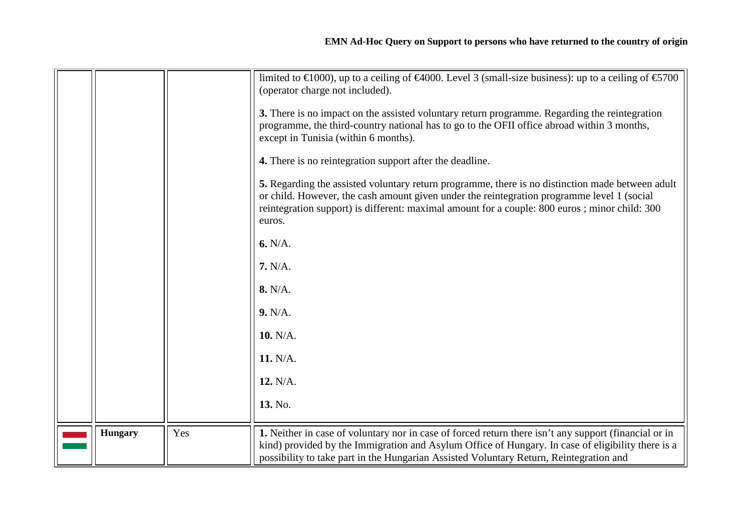<span id="page-9-0"></span>

|                |     | limited to $\in$ 1000), up to a ceiling of $\in$ 4000. Level 3 (small-size business): up to a ceiling of $\in$ 5700 |
|----------------|-----|---------------------------------------------------------------------------------------------------------------------|
|                |     | (operator charge not included).                                                                                     |
|                |     |                                                                                                                     |
|                |     | 3. There is no impact on the assisted voluntary return programme. Regarding the reintegration                       |
|                |     | programme, the third-country national has to go to the OFII office abroad within 3 months,                          |
|                |     | except in Tunisia (within 6 months).                                                                                |
|                |     | 4. There is no reintegration support after the deadline.                                                            |
|                |     | 5. Regarding the assisted voluntary return programme, there is no distinction made between adult                    |
|                |     | or child. However, the cash amount given under the reintegration programme level 1 (social                          |
|                |     | reintegration support) is different: maximal amount for a couple: 800 euros ; minor child: 300                      |
|                |     | euros.                                                                                                              |
|                |     | 6. N/A.                                                                                                             |
|                |     | 7. N/A.                                                                                                             |
|                |     | 8. N/A.                                                                                                             |
|                |     | 9. N/A.                                                                                                             |
|                |     | 10. N/A.                                                                                                            |
|                |     | 11. N/A.                                                                                                            |
|                |     | 12. N/A.                                                                                                            |
|                |     | 13. No.                                                                                                             |
| <b>Hungary</b> | Yes | 1. Neither in case of voluntary nor in case of forced return there isn't any support (financial or in               |
|                |     | kind) provided by the Immigration and Asylum Office of Hungary. In case of eligibility there is a                   |
|                |     | possibility to take part in the Hungarian Assisted Voluntary Return, Reintegration and                              |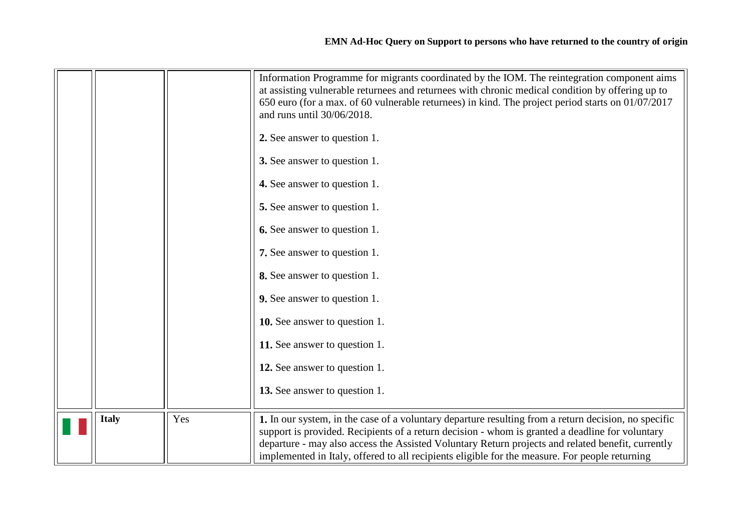<span id="page-10-0"></span>

|              |     | Information Programme for migrants coordinated by the IOM. The reintegration component aims<br>at assisting vulnerable returnees and returnees with chronic medical condition by offering up to<br>650 euro (for a max. of 60 vulnerable returnees) in kind. The project period starts on 01/07/2017<br>and runs until 30/06/2018.<br>2. See answer to question 1.<br>3. See answer to question 1.<br>4. See answer to question 1.<br><b>5.</b> See answer to question 1.<br><b>6.</b> See answer to question 1.<br>7. See answer to question 1.<br><b>8.</b> See answer to question 1.<br><b>9.</b> See answer to question 1.<br><b>10.</b> See answer to question 1.<br>11. See answer to question 1.<br>12. See answer to question 1.<br>13. See answer to question 1. |
|--------------|-----|---------------------------------------------------------------------------------------------------------------------------------------------------------------------------------------------------------------------------------------------------------------------------------------------------------------------------------------------------------------------------------------------------------------------------------------------------------------------------------------------------------------------------------------------------------------------------------------------------------------------------------------------------------------------------------------------------------------------------------------------------------------------------|
| <b>Italy</b> | Yes | 1. In our system, in the case of a voluntary departure resulting from a return decision, no specific<br>support is provided. Recipients of a return decision - whom is granted a deadline for voluntary<br>departure - may also access the Assisted Voluntary Return projects and related benefit, currently<br>implemented in Italy, offered to all recipients eligible for the measure. For people returning                                                                                                                                                                                                                                                                                                                                                            |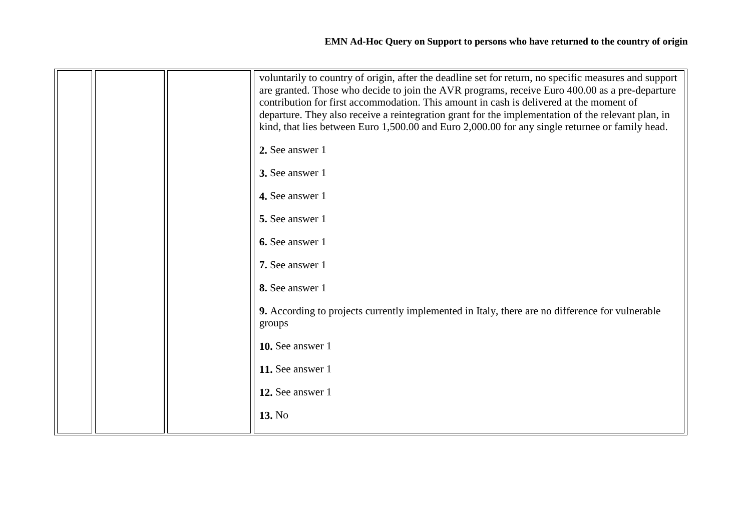|  | voluntarily to country of origin, after the deadline set for return, no specific measures and support<br>are granted. Those who decide to join the AVR programs, receive Euro 400.00 as a pre-departure<br>contribution for first accommodation. This amount in cash is delivered at the moment of<br>departure. They also receive a reintegration grant for the implementation of the relevant plan, in<br>kind, that lies between Euro 1,500.00 and Euro 2,000.00 for any single returnee or family head.<br>2. See answer 1<br>3. See answer 1<br>4. See answer 1<br>5. See answer 1<br>6. See answer 1<br>7. See answer 1<br>8. See answer 1<br>9. According to projects currently implemented in Italy, there are no difference for vulnerable<br>groups<br>10. See answer 1<br>11. See answer 1 |
|--|-------------------------------------------------------------------------------------------------------------------------------------------------------------------------------------------------------------------------------------------------------------------------------------------------------------------------------------------------------------------------------------------------------------------------------------------------------------------------------------------------------------------------------------------------------------------------------------------------------------------------------------------------------------------------------------------------------------------------------------------------------------------------------------------------------|
|  | 12. See answer 1<br>13. No                                                                                                                                                                                                                                                                                                                                                                                                                                                                                                                                                                                                                                                                                                                                                                            |
|  |                                                                                                                                                                                                                                                                                                                                                                                                                                                                                                                                                                                                                                                                                                                                                                                                       |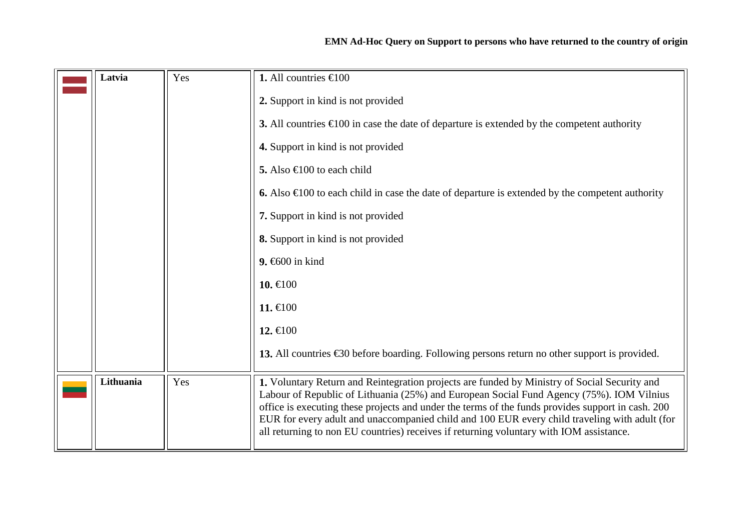<span id="page-12-1"></span><span id="page-12-0"></span>

| Latvia    | Yes | 1. All countries $\bigoplus$ 00                                                                                                                                                                                                                                                                                                                                                                                                                                                           |
|-----------|-----|-------------------------------------------------------------------------------------------------------------------------------------------------------------------------------------------------------------------------------------------------------------------------------------------------------------------------------------------------------------------------------------------------------------------------------------------------------------------------------------------|
|           |     | 2. Support in kind is not provided                                                                                                                                                                                                                                                                                                                                                                                                                                                        |
|           |     | 3. All countries $\bigoplus$ 00 in case the date of departure is extended by the competent authority                                                                                                                                                                                                                                                                                                                                                                                      |
|           |     | 4. Support in kind is not provided                                                                                                                                                                                                                                                                                                                                                                                                                                                        |
|           |     | 5. Also $\bigoplus$ 00 to each child                                                                                                                                                                                                                                                                                                                                                                                                                                                      |
|           |     | 6. Also $\infty$ to each child in case the date of departure is extended by the competent authority                                                                                                                                                                                                                                                                                                                                                                                       |
|           |     | 7. Support in kind is not provided                                                                                                                                                                                                                                                                                                                                                                                                                                                        |
|           |     | 8. Support in kind is not provided                                                                                                                                                                                                                                                                                                                                                                                                                                                        |
|           |     | 9. $600$ in kind                                                                                                                                                                                                                                                                                                                                                                                                                                                                          |
|           |     | 10. €100                                                                                                                                                                                                                                                                                                                                                                                                                                                                                  |
|           |     | 11. €100                                                                                                                                                                                                                                                                                                                                                                                                                                                                                  |
|           |     | 12. €100                                                                                                                                                                                                                                                                                                                                                                                                                                                                                  |
|           |     | 13. All countries $\bigoplus$ before boarding. Following persons return no other support is provided.                                                                                                                                                                                                                                                                                                                                                                                     |
| Lithuania | Yes | 1. Voluntary Return and Reintegration projects are funded by Ministry of Social Security and<br>Labour of Republic of Lithuania (25%) and European Social Fund Agency (75%). IOM Vilnius<br>office is executing these projects and under the terms of the funds provides support in cash. 200<br>EUR for every adult and unaccompanied child and 100 EUR every child traveling with adult (for<br>all returning to non EU countries) receives if returning voluntary with IOM assistance. |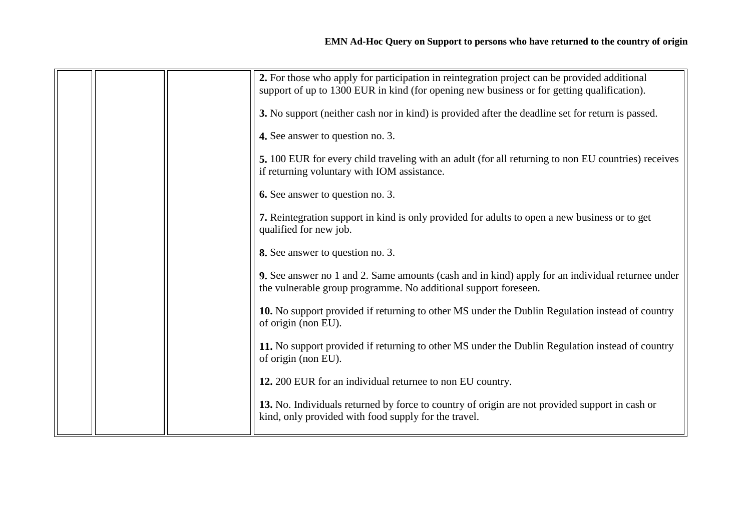|  | 2. For those who apply for participation in reintegration project can be provided additional<br>support of up to 1300 EUR in kind (for opening new business or for getting qualification). |
|--|--------------------------------------------------------------------------------------------------------------------------------------------------------------------------------------------|
|  | 3. No support (neither cash nor in kind) is provided after the deadline set for return is passed.                                                                                          |
|  | 4. See answer to question no. 3.                                                                                                                                                           |
|  | 5. 100 EUR for every child traveling with an adult (for all returning to non EU countries) receives<br>if returning voluntary with IOM assistance.                                         |
|  | <b>6.</b> See answer to question no. 3.                                                                                                                                                    |
|  | 7. Reintegration support in kind is only provided for adults to open a new business or to get<br>qualified for new job.                                                                    |
|  | 8. See answer to question no. 3.                                                                                                                                                           |
|  | 9. See answer no 1 and 2. Same amounts (cash and in kind) apply for an individual returnee under<br>the vulnerable group programme. No additional support foreseen.                        |
|  | 10. No support provided if returning to other MS under the Dublin Regulation instead of country<br>of origin (non EU).                                                                     |
|  | 11. No support provided if returning to other MS under the Dublin Regulation instead of country<br>of origin (non EU).                                                                     |
|  | 12. 200 EUR for an individual returnee to non EU country.                                                                                                                                  |
|  | 13. No. Individuals returned by force to country of origin are not provided support in cash or<br>kind, only provided with food supply for the travel.                                     |
|  |                                                                                                                                                                                            |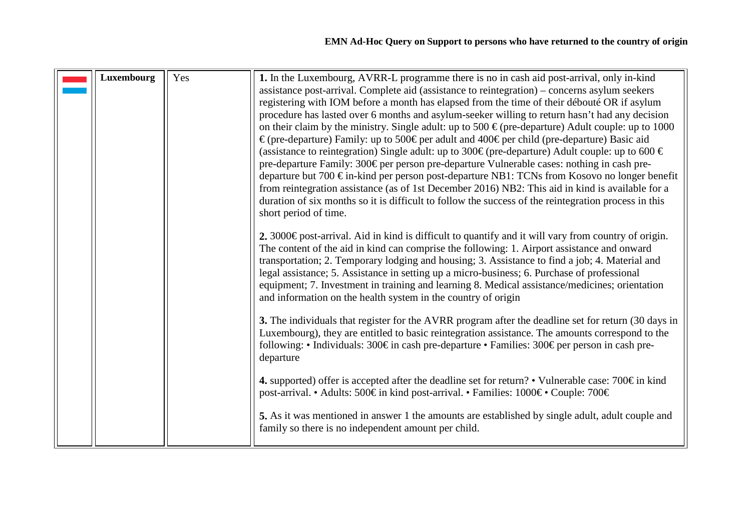<span id="page-14-0"></span>

| Luxembourg | Yes | 1. In the Luxembourg, AVRR-L programme there is no in cash aid post-arrival, only in-kind                  |
|------------|-----|------------------------------------------------------------------------------------------------------------|
|            |     |                                                                                                            |
|            |     | assistance post-arrival. Complete aid (assistance to reintegration) – concerns asylum seekers              |
|            |     | registering with IOM before a month has elapsed from the time of their débouté OR if asylum                |
|            |     | procedure has lasted over 6 months and asylum-seeker willing to return hasn't had any decision             |
|            |     | on their claim by the ministry. Single adult: up to 500 $\in$ (pre-departure) Adult couple: up to 1000     |
|            |     | €(pre-departure) Family: up to 500€ per adult and 400€ per child (pre-departure) Basic aid                 |
|            |     | (assistance to reintegration) Single adult: up to 300€(pre-departure) Adult couple: up to 600 €            |
|            |     | pre-departure Family: 300€ per person pre-departure Vulnerable cases: nothing in cash pre-                 |
|            |     | departure but 700 €in-kind per person post-departure NB1: TCNs from Kosovo no longer benefit               |
|            |     | from reintegration assistance (as of 1st December 2016) NB2: This aid in kind is available for a           |
|            |     | duration of six months so it is difficult to follow the success of the reintegration process in this       |
|            |     |                                                                                                            |
|            |     | short period of time.                                                                                      |
|            |     |                                                                                                            |
|            |     | 2. 3000 € post-arrival. Aid in kind is difficult to quantify and it will vary from country of origin.      |
|            |     | The content of the aid in kind can comprise the following: 1. Airport assistance and onward                |
|            |     | transportation; 2. Temporary lodging and housing; 3. Assistance to find a job; 4. Material and             |
|            |     | legal assistance; 5. Assistance in setting up a micro-business; 6. Purchase of professional                |
|            |     | equipment; 7. Investment in training and learning 8. Medical assistance/medicines; orientation             |
|            |     | and information on the health system in the country of origin                                              |
|            |     |                                                                                                            |
|            |     | 3. The individuals that register for the AVRR program after the deadline set for return (30 days in        |
|            |     | Luxembourg), they are entitled to basic reintegration assistance. The amounts correspond to the            |
|            |     | following: • Individuals: 300€in cash pre-departure • Families: 300€per person in cash pre-                |
|            |     | departure                                                                                                  |
|            |     |                                                                                                            |
|            |     | 4. supported) offer is accepted after the deadline set for return? • Vulnerable case: $700 \times$ in kind |
|            |     | post-arrival. • Adults: 500€in kind post-arrival. • Families: 1000€• Couple: 700€                          |
|            |     |                                                                                                            |
|            |     | 5. As it was mentioned in answer 1 the amounts are established by single adult, adult couple and           |
|            |     | family so there is no independent amount per child.                                                        |
|            |     |                                                                                                            |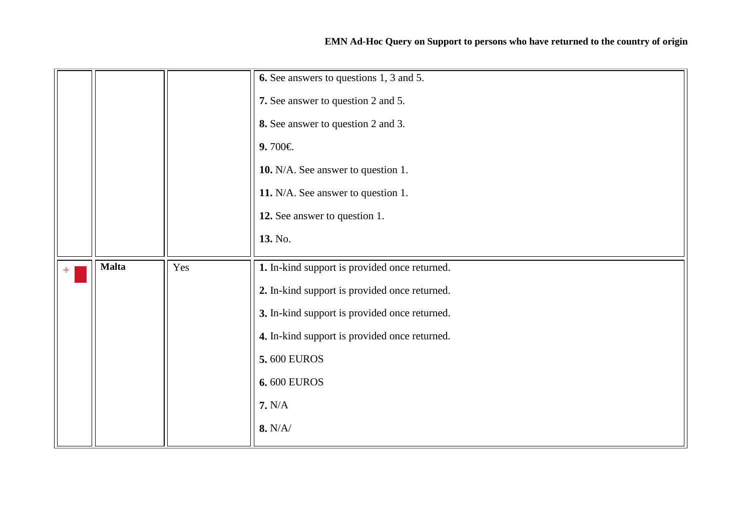<span id="page-15-0"></span>

|              |     | <b>6.</b> See answers to questions 1, 3 and 5. |
|--------------|-----|------------------------------------------------|
|              |     |                                                |
|              |     | 7. See answer to question 2 and 5.             |
|              |     | 8. See answer to question 2 and 3.             |
|              |     | 9.700€                                         |
|              |     | 10. N/A. See answer to question 1.             |
|              |     | 11. N/A. See answer to question 1.             |
|              |     | 12. See answer to question 1.                  |
|              |     | 13. No.                                        |
| <b>Malta</b> | Yes | 1. In-kind support is provided once returned.  |
|              |     | 2. In-kind support is provided once returned.  |
|              |     |                                                |
|              |     | 3. In-kind support is provided once returned.  |
|              |     | 4. In-kind support is provided once returned.  |
|              |     | <b>5.</b> 600 EUROS                            |
|              |     | <b>6.</b> 600 EUROS                            |
|              |     | 7. N/A                                         |
|              |     | 8. N/A/                                        |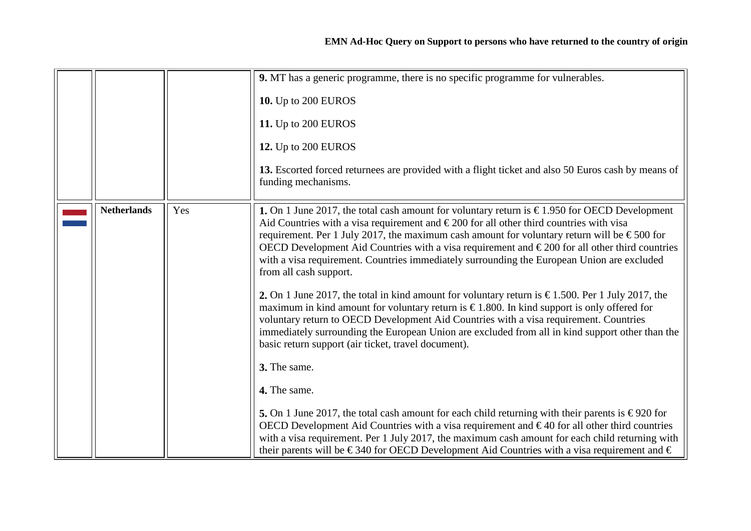<span id="page-16-0"></span>

|                    |     | 9. MT has a generic programme, there is no specific programme for vulnerables.                                                                                                                                                                                                                                                                                                                                                                                                                                                                                                                                                                                                                                                                                                                                                                                                                                                                                                                                                  |
|--------------------|-----|---------------------------------------------------------------------------------------------------------------------------------------------------------------------------------------------------------------------------------------------------------------------------------------------------------------------------------------------------------------------------------------------------------------------------------------------------------------------------------------------------------------------------------------------------------------------------------------------------------------------------------------------------------------------------------------------------------------------------------------------------------------------------------------------------------------------------------------------------------------------------------------------------------------------------------------------------------------------------------------------------------------------------------|
|                    |     | <b>10.</b> Up to 200 EUROS                                                                                                                                                                                                                                                                                                                                                                                                                                                                                                                                                                                                                                                                                                                                                                                                                                                                                                                                                                                                      |
|                    |     | 11. Up to 200 EUROS                                                                                                                                                                                                                                                                                                                                                                                                                                                                                                                                                                                                                                                                                                                                                                                                                                                                                                                                                                                                             |
|                    |     | 12. Up to 200 EUROS                                                                                                                                                                                                                                                                                                                                                                                                                                                                                                                                                                                                                                                                                                                                                                                                                                                                                                                                                                                                             |
|                    |     | 13. Escorted forced returnees are provided with a flight ticket and also 50 Euros cash by means of<br>funding mechanisms.                                                                                                                                                                                                                                                                                                                                                                                                                                                                                                                                                                                                                                                                                                                                                                                                                                                                                                       |
| <b>Netherlands</b> | Yes | 1. On 1 June 2017, the total cash amount for voluntary return is $\epsilon$ 1.950 for OECD Development<br>Aid Countries with a visa requirement and $\epsilon$ 200 for all other third countries with visa<br>requirement. Per 1 July 2017, the maximum cash amount for voluntary return will be $\epsilon$ 500 for<br>OECD Development Aid Countries with a visa requirement and $\epsilon$ 200 for all other third countries<br>with a visa requirement. Countries immediately surrounding the European Union are excluded<br>from all cash support.<br>2. On 1 June 2017, the total in kind amount for voluntary return is $\epsilon$ 1.500. Per 1 July 2017, the<br>maximum in kind amount for voluntary return is $\epsilon$ 1.800. In kind support is only offered for<br>voluntary return to OECD Development Aid Countries with a visa requirement. Countries<br>immediately surrounding the European Union are excluded from all in kind support other than the<br>basic return support (air ticket, travel document). |
|                    |     | 3. The same.<br>4. The same.                                                                                                                                                                                                                                                                                                                                                                                                                                                                                                                                                                                                                                                                                                                                                                                                                                                                                                                                                                                                    |
|                    |     | 5. On 1 June 2017, the total cash amount for each child returning with their parents is $\epsilon$ 920 for<br>OECD Development Aid Countries with a visa requirement and $\epsilon$ 40 for all other third countries<br>with a visa requirement. Per 1 July 2017, the maximum cash amount for each child returning with<br>their parents will be $\epsilon$ 340 for OECD Development Aid Countries with a visa requirement and $\epsilon$                                                                                                                                                                                                                                                                                                                                                                                                                                                                                                                                                                                       |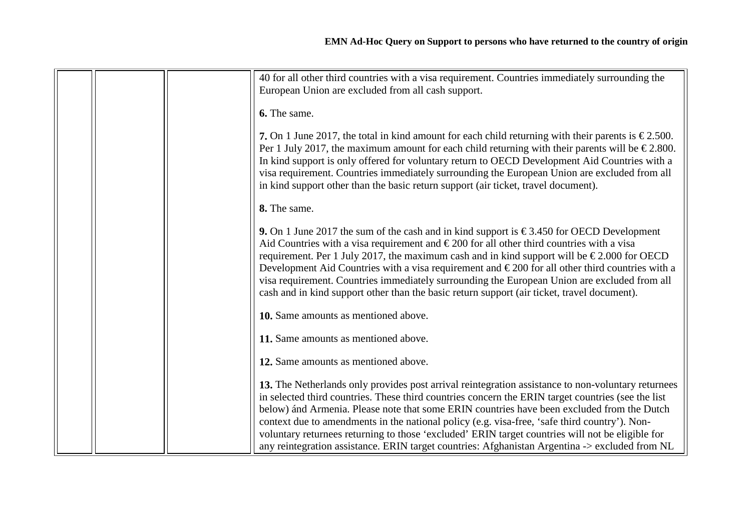|  | 40 for all other third countries with a visa requirement. Countries immediately surrounding the<br>European Union are excluded from all cash support.                                                                                                                                                                                                                                                                                                                                                                                                                                                                        |
|--|------------------------------------------------------------------------------------------------------------------------------------------------------------------------------------------------------------------------------------------------------------------------------------------------------------------------------------------------------------------------------------------------------------------------------------------------------------------------------------------------------------------------------------------------------------------------------------------------------------------------------|
|  | 6. The same.                                                                                                                                                                                                                                                                                                                                                                                                                                                                                                                                                                                                                 |
|  | 7. On 1 June 2017, the total in kind amount for each child returning with their parents is $\epsilon$ 2.500.<br>Per 1 July 2017, the maximum amount for each child returning with their parents will be $\epsilon$ 2.800.<br>In kind support is only offered for voluntary return to OECD Development Aid Countries with a<br>visa requirement. Countries immediately surrounding the European Union are excluded from all<br>in kind support other than the basic return support (air ticket, travel document).                                                                                                             |
|  | 8. The same.                                                                                                                                                                                                                                                                                                                                                                                                                                                                                                                                                                                                                 |
|  | 9. On 1 June 2017 the sum of the cash and in kind support is $\epsilon$ 3.450 for OECD Development<br>Aid Countries with a visa requirement and $\epsilon$ 200 for all other third countries with a visa<br>requirement. Per 1 July 2017, the maximum cash and in kind support will be $\epsilon$ 2.000 for OECD<br>Development Aid Countries with a visa requirement and $\epsilon$ 200 for all other third countries with a<br>visa requirement. Countries immediately surrounding the European Union are excluded from all<br>cash and in kind support other than the basic return support (air ticket, travel document). |
|  | 10. Same amounts as mentioned above.                                                                                                                                                                                                                                                                                                                                                                                                                                                                                                                                                                                         |
|  | 11. Same amounts as mentioned above.                                                                                                                                                                                                                                                                                                                                                                                                                                                                                                                                                                                         |
|  | 12. Same amounts as mentioned above.                                                                                                                                                                                                                                                                                                                                                                                                                                                                                                                                                                                         |
|  | 13. The Netherlands only provides post arrival reintegration assistance to non-voluntary returnees<br>in selected third countries. These third countries concern the ERIN target countries (see the list<br>below) and Armenia. Please note that some ERIN countries have been excluded from the Dutch<br>context due to amendments in the national policy (e.g. visa-free, 'safe third country'). Non-<br>voluntary returnees returning to those 'excluded' ERIN target countries will not be eligible for<br>any reintegration assistance. ERIN target countries: Afghanistan Argentina -> excluded from NL                |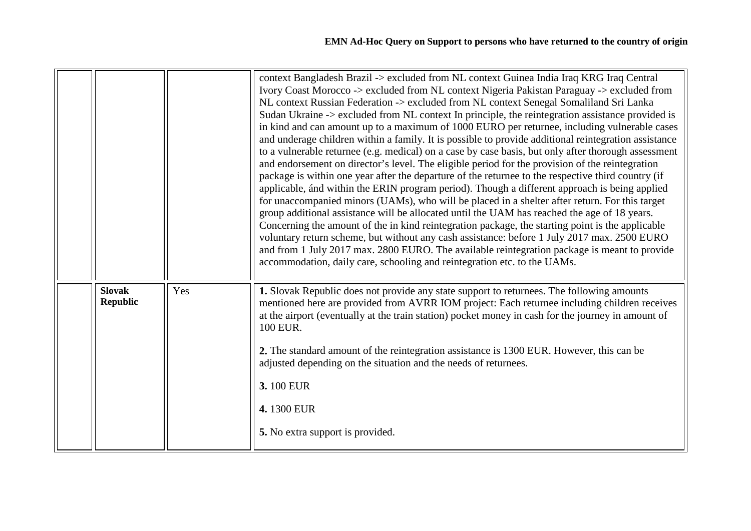<span id="page-18-0"></span>

|                                  |     | context Bangladesh Brazil -> excluded from NL context Guinea India Iraq KRG Iraq Central<br>Ivory Coast Morocco -> excluded from NL context Nigeria Pakistan Paraguay -> excluded from<br>NL context Russian Federation -> excluded from NL context Senegal Somaliland Sri Lanka<br>Sudan Ukraine -> excluded from NL context In principle, the reintegration assistance provided is<br>in kind and can amount up to a maximum of 1000 EURO per returnee, including vulnerable cases<br>and underage children within a family. It is possible to provide additional reintegration assistance<br>to a vulnerable returnee (e.g. medical) on a case by case basis, but only after thorough assessment<br>and endorsement on director's level. The eligible period for the provision of the reintegration<br>package is within one year after the departure of the returnee to the respective third country (if<br>applicable, and within the ERIN program period). Though a different approach is being applied<br>for unaccompanied minors (UAMs), who will be placed in a shelter after return. For this target<br>group additional assistance will be allocated until the UAM has reached the age of 18 years.<br>Concerning the amount of the in kind reintegration package, the starting point is the applicable<br>voluntary return scheme, but without any cash assistance: before 1 July 2017 max. 2500 EURO<br>and from 1 July 2017 max. 2800 EURO. The available reintegration package is meant to provide<br>accommodation, daily care, schooling and reintegration etc. to the UAMs. |
|----------------------------------|-----|------------------------------------------------------------------------------------------------------------------------------------------------------------------------------------------------------------------------------------------------------------------------------------------------------------------------------------------------------------------------------------------------------------------------------------------------------------------------------------------------------------------------------------------------------------------------------------------------------------------------------------------------------------------------------------------------------------------------------------------------------------------------------------------------------------------------------------------------------------------------------------------------------------------------------------------------------------------------------------------------------------------------------------------------------------------------------------------------------------------------------------------------------------------------------------------------------------------------------------------------------------------------------------------------------------------------------------------------------------------------------------------------------------------------------------------------------------------------------------------------------------------------------------------------------------------------------------------------|
| <b>Slovak</b><br><b>Republic</b> | Yes | 1. Slovak Republic does not provide any state support to returnees. The following amounts<br>mentioned here are provided from AVRR IOM project: Each returnee including children receives<br>at the airport (eventually at the train station) pocket money in cash for the journey in amount of<br>100 EUR.<br>2. The standard amount of the reintegration assistance is 1300 EUR. However, this can be<br>adjusted depending on the situation and the needs of returnees.<br>3.100 EUR<br>4.1300 EUR<br>5. No extra support is provided.                                                                                                                                                                                                                                                                                                                                                                                                                                                                                                                                                                                                                                                                                                                                                                                                                                                                                                                                                                                                                                                      |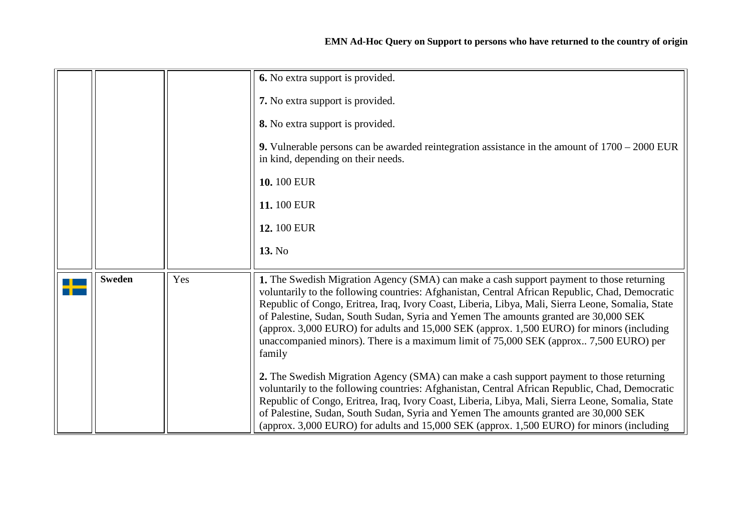<span id="page-19-0"></span>

|               |     | 6. No extra support is provided.                                                                                                                                                                                                                                                                                                                                                                                                                                                                                                                                                         |
|---------------|-----|------------------------------------------------------------------------------------------------------------------------------------------------------------------------------------------------------------------------------------------------------------------------------------------------------------------------------------------------------------------------------------------------------------------------------------------------------------------------------------------------------------------------------------------------------------------------------------------|
|               |     | 7. No extra support is provided.                                                                                                                                                                                                                                                                                                                                                                                                                                                                                                                                                         |
|               |     | 8. No extra support is provided.                                                                                                                                                                                                                                                                                                                                                                                                                                                                                                                                                         |
|               |     | 9. Vulnerable persons can be awarded reintegration assistance in the amount of $1700 - 2000$ EUR<br>in kind, depending on their needs.                                                                                                                                                                                                                                                                                                                                                                                                                                                   |
|               |     | 10.100 EUR                                                                                                                                                                                                                                                                                                                                                                                                                                                                                                                                                                               |
|               |     | 11.100 EUR                                                                                                                                                                                                                                                                                                                                                                                                                                                                                                                                                                               |
|               |     | 12.100 EUR                                                                                                                                                                                                                                                                                                                                                                                                                                                                                                                                                                               |
|               |     | 13. No                                                                                                                                                                                                                                                                                                                                                                                                                                                                                                                                                                                   |
| <b>Sweden</b> | Yes | 1. The Swedish Migration Agency (SMA) can make a cash support payment to those returning<br>voluntarily to the following countries: Afghanistan, Central African Republic, Chad, Democratic<br>Republic of Congo, Eritrea, Iraq, Ivory Coast, Liberia, Libya, Mali, Sierra Leone, Somalia, State<br>of Palestine, Sudan, South Sudan, Syria and Yemen The amounts granted are 30,000 SEK<br>(approx. 3,000 EURO) for adults and 15,000 SEK (approx. 1,500 EURO) for minors (including<br>unaccompanied minors). There is a maximum limit of 75,000 SEK (approx 7,500 EURO) per<br>family |
|               |     | 2. The Swedish Migration Agency (SMA) can make a cash support payment to those returning<br>voluntarily to the following countries: Afghanistan, Central African Republic, Chad, Democratic<br>Republic of Congo, Eritrea, Iraq, Ivory Coast, Liberia, Libya, Mali, Sierra Leone, Somalia, State<br>of Palestine, Sudan, South Sudan, Syria and Yemen The amounts granted are 30,000 SEK<br>(approx. 3,000 EURO) for adults and 15,000 SEK (approx. 1,500 EURO) for minors (including                                                                                                    |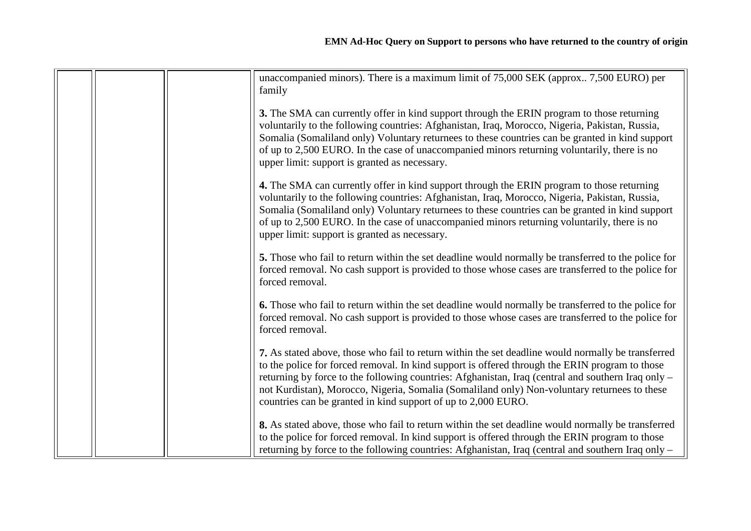|  | unaccompanied minors). There is a maximum limit of 75,000 SEK (approx 7,500 EURO) per<br>family                                                                                                                                                                                                                                                                                                                                                                             |
|--|-----------------------------------------------------------------------------------------------------------------------------------------------------------------------------------------------------------------------------------------------------------------------------------------------------------------------------------------------------------------------------------------------------------------------------------------------------------------------------|
|  | 3. The SMA can currently offer in kind support through the ERIN program to those returning<br>voluntarily to the following countries: Afghanistan, Iraq, Morocco, Nigeria, Pakistan, Russia,<br>Somalia (Somaliland only) Voluntary returnees to these countries can be granted in kind support<br>of up to 2,500 EURO. In the case of unaccompanied minors returning voluntarily, there is no<br>upper limit: support is granted as necessary.                             |
|  | 4. The SMA can currently offer in kind support through the ERIN program to those returning<br>voluntarily to the following countries: Afghanistan, Iraq, Morocco, Nigeria, Pakistan, Russia,<br>Somalia (Somaliland only) Voluntary returnees to these countries can be granted in kind support<br>of up to 2,500 EURO. In the case of unaccompanied minors returning voluntarily, there is no<br>upper limit: support is granted as necessary.                             |
|  | 5. Those who fail to return within the set deadline would normally be transferred to the police for<br>forced removal. No cash support is provided to those whose cases are transferred to the police for<br>forced removal.                                                                                                                                                                                                                                                |
|  | <b>6.</b> Those who fail to return within the set deadline would normally be transferred to the police for<br>forced removal. No cash support is provided to those whose cases are transferred to the police for<br>forced removal.                                                                                                                                                                                                                                         |
|  | 7. As stated above, those who fail to return within the set deadline would normally be transferred<br>to the police for forced removal. In kind support is offered through the ERIN program to those<br>returning by force to the following countries: Afghanistan, Iraq (central and southern Iraq only –<br>not Kurdistan), Morocco, Nigeria, Somalia (Somaliland only) Non-voluntary returnees to these<br>countries can be granted in kind support of up to 2,000 EURO. |
|  | 8. As stated above, those who fail to return within the set deadline would normally be transferred<br>to the police for forced removal. In kind support is offered through the ERIN program to those<br>returning by force to the following countries: Afghanistan, Iraq (central and southern Iraq only –                                                                                                                                                                  |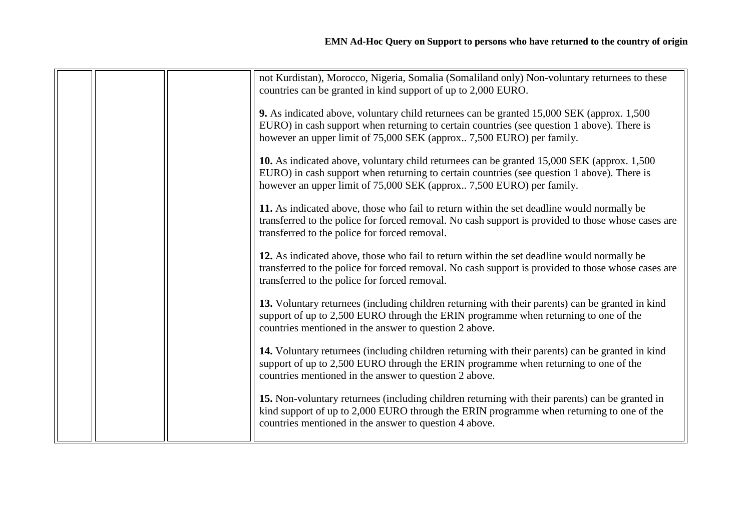|  | not Kurdistan), Morocco, Nigeria, Somalia (Somaliland only) Non-voluntary returnees to these<br>countries can be granted in kind support of up to 2,000 EURO.                                                                                                     |
|--|-------------------------------------------------------------------------------------------------------------------------------------------------------------------------------------------------------------------------------------------------------------------|
|  | 9. As indicated above, voluntary child returnees can be granted 15,000 SEK (approx. 1,500)<br>EURO) in cash support when returning to certain countries (see question 1 above). There is<br>however an upper limit of 75,000 SEK (approx 7,500 EURO) per family.  |
|  | 10. As indicated above, voluntary child returnees can be granted 15,000 SEK (approx. 1,500)<br>EURO) in cash support when returning to certain countries (see question 1 above). There is<br>however an upper limit of 75,000 SEK (approx 7,500 EURO) per family. |
|  | 11. As indicated above, those who fail to return within the set deadline would normally be<br>transferred to the police for forced removal. No cash support is provided to those whose cases are<br>transferred to the police for forced removal.                 |
|  | 12. As indicated above, those who fail to return within the set deadline would normally be<br>transferred to the police for forced removal. No cash support is provided to those whose cases are<br>transferred to the police for forced removal.                 |
|  | 13. Voluntary returnees (including children returning with their parents) can be granted in kind<br>support of up to 2,500 EURO through the ERIN programme when returning to one of the<br>countries mentioned in the answer to question 2 above.                 |
|  | 14. Voluntary returnees (including children returning with their parents) can be granted in kind<br>support of up to 2,500 EURO through the ERIN programme when returning to one of the<br>countries mentioned in the answer to question 2 above.                 |
|  | 15. Non-voluntary returnees (including children returning with their parents) can be granted in<br>kind support of up to 2,000 EURO through the ERIN programme when returning to one of the<br>countries mentioned in the answer to question 4 above.             |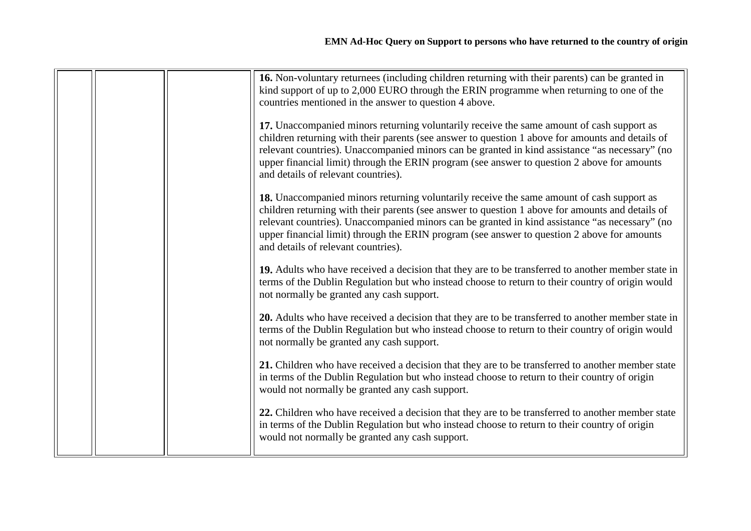|  | 16. Non-voluntary returnees (including children returning with their parents) can be granted in<br>kind support of up to 2,000 EURO through the ERIN programme when returning to one of the<br>countries mentioned in the answer to question 4 above.                                                                                                                                                                                 |
|--|---------------------------------------------------------------------------------------------------------------------------------------------------------------------------------------------------------------------------------------------------------------------------------------------------------------------------------------------------------------------------------------------------------------------------------------|
|  | 17. Unaccompanied minors returning voluntarily receive the same amount of cash support as<br>children returning with their parents (see answer to question 1 above for amounts and details of<br>relevant countries). Unaccompanied minors can be granted in kind assistance "as necessary" (no<br>upper financial limit) through the ERIN program (see answer to question 2 above for amounts<br>and details of relevant countries). |
|  | 18. Unaccompanied minors returning voluntarily receive the same amount of cash support as<br>children returning with their parents (see answer to question 1 above for amounts and details of<br>relevant countries). Unaccompanied minors can be granted in kind assistance "as necessary" (no<br>upper financial limit) through the ERIN program (see answer to question 2 above for amounts<br>and details of relevant countries). |
|  | 19. Adults who have received a decision that they are to be transferred to another member state in<br>terms of the Dublin Regulation but who instead choose to return to their country of origin would<br>not normally be granted any cash support.                                                                                                                                                                                   |
|  | 20. Adults who have received a decision that they are to be transferred to another member state in<br>terms of the Dublin Regulation but who instead choose to return to their country of origin would<br>not normally be granted any cash support.                                                                                                                                                                                   |
|  | 21. Children who have received a decision that they are to be transferred to another member state<br>in terms of the Dublin Regulation but who instead choose to return to their country of origin<br>would not normally be granted any cash support.                                                                                                                                                                                 |
|  | 22. Children who have received a decision that they are to be transferred to another member state<br>in terms of the Dublin Regulation but who instead choose to return to their country of origin<br>would not normally be granted any cash support.                                                                                                                                                                                 |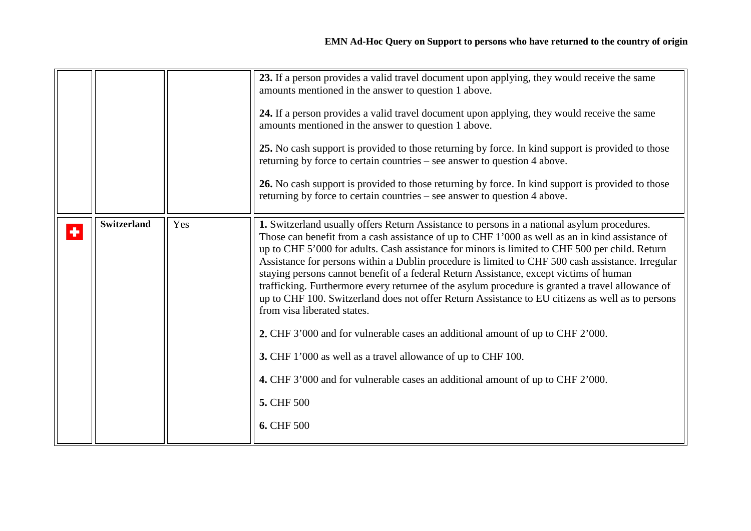<span id="page-23-0"></span>

|           |                    |     | 23. If a person provides a valid travel document upon applying, they would receive the same<br>amounts mentioned in the answer to question 1 above.<br>24. If a person provides a valid travel document upon applying, they would receive the same<br>amounts mentioned in the answer to question 1 above.<br>25. No cash support is provided to those returning by force. In kind support is provided to those<br>returning by force to certain countries – see answer to question 4 above.<br>26. No cash support is provided to those returning by force. In kind support is provided to those<br>returning by force to certain countries – see answer to question 4 above.                                                                                                                                                                                                                                                                                                                         |
|-----------|--------------------|-----|--------------------------------------------------------------------------------------------------------------------------------------------------------------------------------------------------------------------------------------------------------------------------------------------------------------------------------------------------------------------------------------------------------------------------------------------------------------------------------------------------------------------------------------------------------------------------------------------------------------------------------------------------------------------------------------------------------------------------------------------------------------------------------------------------------------------------------------------------------------------------------------------------------------------------------------------------------------------------------------------------------|
| $\bullet$ | <b>Switzerland</b> | Yes | 1. Switzerland usually offers Return Assistance to persons in a national asylum procedures.<br>Those can benefit from a cash assistance of up to CHF 1'000 as well as an in kind assistance of<br>up to CHF 5'000 for adults. Cash assistance for minors is limited to CHF 500 per child. Return<br>Assistance for persons within a Dublin procedure is limited to CHF 500 cash assistance. Irregular<br>staying persons cannot benefit of a federal Return Assistance, except victims of human<br>trafficking. Furthermore every returnee of the asylum procedure is granted a travel allowance of<br>up to CHF 100. Switzerland does not offer Return Assistance to EU citizens as well as to persons<br>from visa liberated states.<br>2. CHF 3'000 and for vulnerable cases an additional amount of up to CHF 2'000.<br>3. CHF 1'000 as well as a travel allowance of up to CHF 100.<br>4. CHF 3'000 and for vulnerable cases an additional amount of up to CHF 2'000.<br>5. CHF 500<br>6. CHF 500 |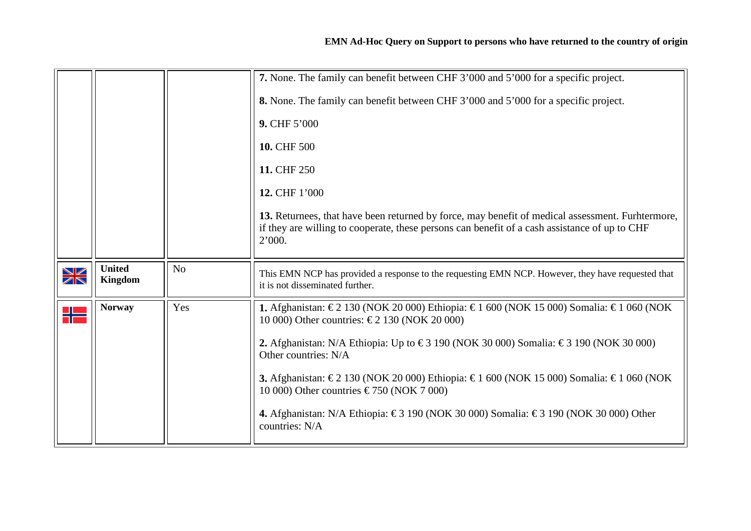<span id="page-24-1"></span><span id="page-24-0"></span>

|             |                          |                | 7. None. The family can benefit between CHF 3'000 and 5'000 for a specific project.                                                                                                                         |
|-------------|--------------------------|----------------|-------------------------------------------------------------------------------------------------------------------------------------------------------------------------------------------------------------|
|             |                          |                | <b>8.</b> None. The family can benefit between CHF 3'000 and 5'000 for a specific project.                                                                                                                  |
|             |                          |                | 9. CHF 5'000                                                                                                                                                                                                |
|             |                          |                | 10. CHF 500                                                                                                                                                                                                 |
|             |                          |                | 11. CHF 250                                                                                                                                                                                                 |
|             |                          |                | 12. CHF 1'000                                                                                                                                                                                               |
|             |                          |                | 13. Returnees, that have been returned by force, may benefit of medical assessment. Furhtermore,<br>if they are willing to cooperate, these persons can benefit of a cash assistance of up to CHF<br>2'000. |
| $\geqslant$ | <b>United</b><br>Kingdom | N <sub>o</sub> | This EMN NCP has provided a response to the requesting EMN NCP. However, they have requested that<br>it is not disseminated further.                                                                        |
| ╬           | <b>Norway</b>            | Yes            | <b>1.</b> Afghanistan: €2 130 (NOK 20 000) Ethiopia: €1 600 (NOK 15 000) Somalia: €1 060 (NOK<br>10 000) Other countries: €2 130 (NOK 20 000)                                                               |
|             |                          |                | 2. Afghanistan: N/A Ethiopia: Up to €3 190 (NOK 30 000) Somalia: €3 190 (NOK 30 000)<br>Other countries: N/A                                                                                                |
|             |                          |                | 3. Afghanistan: €2 130 (NOK 20 000) Ethiopia: €1 600 (NOK 15 000) Somalia: €1 060 (NOK<br>10 000) Other countries $\text{\textsterling}750$ (NOK 7 000)                                                     |
|             |                          |                | 4. Afghanistan: N/A Ethiopia: €3 190 (NOK 30 000) Somalia: €3 190 (NOK 30 000) Other<br>countries: N/A                                                                                                      |